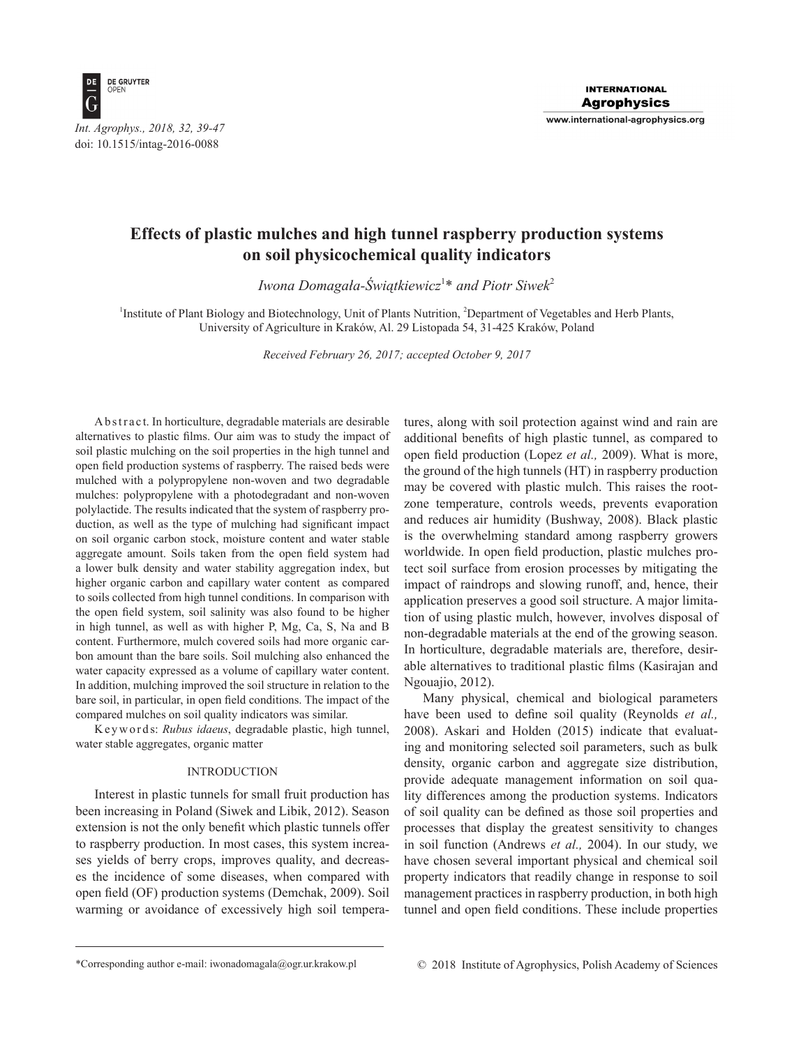

# **Effects of plastic mulches and high tunnel raspberry production systems on soil physicochemical quality indicators**

*Iwona Domagała-Świątkiewicz*<sup>1</sup> \* *and Piotr Siwek*<sup>2</sup>

<sup>1</sup>Institute of Plant Biology and Biotechnology, Unit of Plants Nutrition, <sup>2</sup>Department of Vegetables and Herb Plants, University of Agriculture in Kraków, Al. 29 Listopada 54, 31-425 Kraków, Poland

*Received February 26, 2017; accepted October 9, 2017*

A b s t r a c t. In horticulture, degradable materials are desirable alternatives to plastic films. Our aim was to study the impact of soil plastic mulching on the soil properties in the high tunnel and open field production systems of raspberry. The raised beds were mulched with a polypropylene non-woven and two degradable mulches: polypropylene with a photodegradant and non-woven polylactide. The results indicated that the system of raspberry production, as well as the type of mulching had significant impact on soil organic carbon stock, moisture content and water stable aggregate amount. Soils taken from the open field system had a lower bulk density and water stability aggregation index, but higher organic carbon and capillary water content as compared to soils collected from high tunnel conditions. In comparison with the open field system, soil salinity was also found to be higher in high tunnel, as well as with higher P, Mg, Ca, S, Na and B content. Furthermore, mulch covered soils had more organic carbon amount than the bare soils. Soil mulching also enhanced the water capacity expressed as a volume of capillary water content. In addition, mulching improved the soil structure in relation to the bare soil, in particular, in open field conditions. The impact of the compared mulches on soil quality indicators was similar.

K e y w o r d s: *Rubus idaeus*, degradable plastic, high tunnel, water stable aggregates, organic matter

#### INTRODUCTION

Interest in plastic tunnels for small fruit production has been increasing in Poland (Siwek and Libik, 2012). Season extension is not the only benefit which plastic tunnels offer to raspberry production. In most cases, this system increases yields of berry crops, improves quality, and decreases the incidence of some diseases, when compared with open field (OF) production systems (Demchak, 2009). Soil warming or avoidance of excessively high soil temperatures, along with soil protection against wind and rain are additional benefits of high plastic tunnel, as compared to open field production (Lopez *et al.,* 2009). What is more, the ground of the high tunnels (HT) in raspberry production may be covered with plastic mulch. This raises the rootzone temperature, controls weeds, prevents evaporation and reduces air humidity (Bushway, 2008). Black plastic is the overwhelming standard among raspberry growers worldwide. In open field production, plastic mulches protect soil surface from erosion processes by mitigating the impact of raindrops and slowing runoff, and, hence, their application preserves a good soil structure. A major limitation of using plastic mulch, however, involves disposal of non-degradable materials at the end of the growing season. In horticulture, degradable materials are, therefore, desirable alternatives to traditional plastic films (Kasirajan and Ngouajio, 2012).

Many physical, chemical and biological parameters have been used to define soil quality (Reynolds *et al.,* 2008). Askari and Holden (2015) indicate that evaluating and monitoring selected soil parameters, such as bulk density, organic carbon and aggregate size distribution, provide adequate management information on soil quality differences among the production systems. Indicators of soil quality can be defined as those soil properties and processes that display the greatest sensitivity to changes in soil function (Andrews *et al.,* 2004). In our study, we have chosen several important physical and chemical soil property indicators that readily change in response to soil management practices in raspberry production, in both high tunnel and open field conditions. These include properties

<sup>\*</sup>Corresponding author e-mail: iwonadomagala@ogr.ur.krakow.pl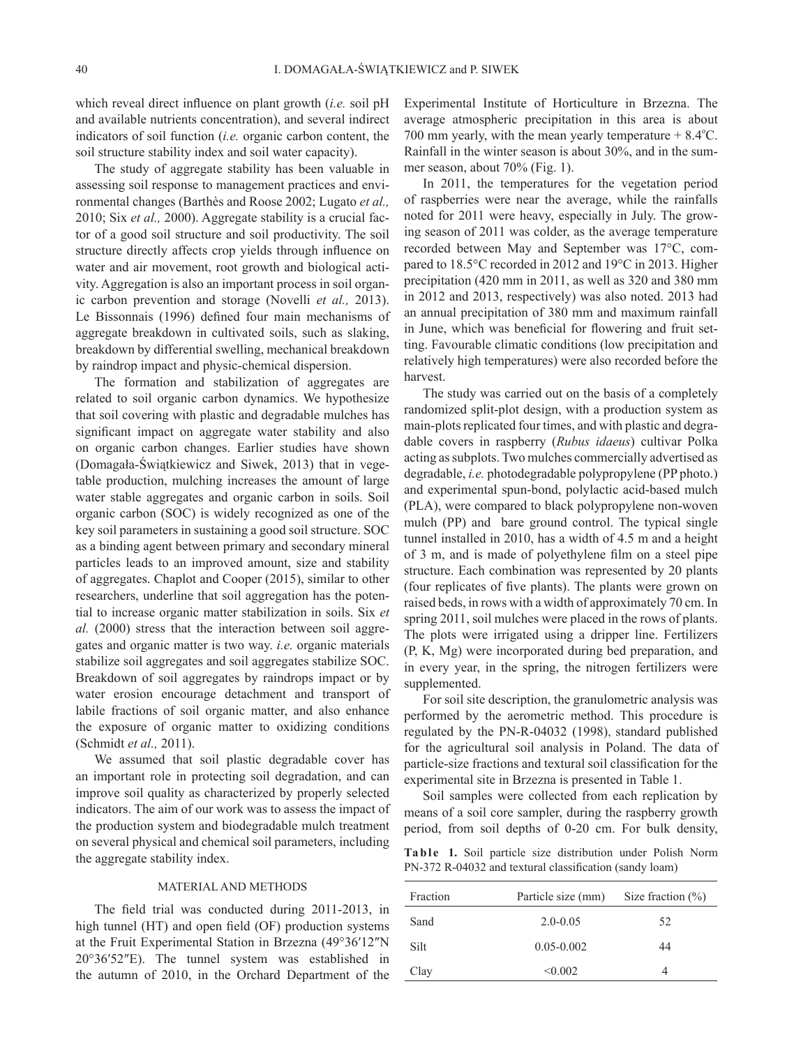which reveal direct influence on plant growth (*i.e.* soil pH and available nutrients concentration), and several indirect indicators of soil function (*i.e.* organic carbon content, the soil structure stability index and soil water capacity).

The study of aggregate stability has been valuable in assessing soil response to management practices and environmental changes (Barthès and Roose 2002; Lugato *et al.,* 2010; Six *et al.,* 2000). Aggregate stability is a crucial factor of a good soil structure and soil productivity. The soil structure directly affects crop yields through influence on water and air movement, root growth and biological activity. Aggregation is also an important process in soil organic carbon prevention and storage (Novelli *et al.,* 2013). Le Bissonnais (1996) defined four main mechanisms of aggregate breakdown in cultivated soils, such as slaking, breakdown by differential swelling, mechanical breakdown by raindrop impact and physic-chemical dispersion.

The formation and stabilization of aggregates are related to soil organic carbon dynamics. We hypothesize that soil covering with plastic and degradable mulches has significant impact on aggregate water stability and also on organic carbon changes. Earlier studies have shown (Domagała-Świątkiewicz and Siwek, 2013) that in vegetable production, mulching increases the amount of large water stable aggregates and organic carbon in soils. Soil organic carbon (SOC) is widely recognized as one of the key soil parameters in sustaining a good soil structure. SOC as a binding agent between primary and secondary mineral particles leads to an improved amount, size and stability of aggregates. Chaplot and Cooper (2015), similar to other researchers, underline that soil aggregation has the potential to increase organic matter stabilization in soils. Six *et al.* (2000) stress that the interaction between soil aggregates and organic matter is two way. *i.e.* organic materials stabilize soil aggregates and soil aggregates stabilize SOC. Breakdown of soil aggregates by raindrops impact or by water erosion encourage detachment and transport of labile fractions of soil organic matter, and also enhance the exposure of organic matter to oxidizing conditions (Schmidt *et al.,* 2011).

We assumed that soil plastic degradable cover has an important role in protecting soil degradation, and can improve soil quality as characterized by properly selected indicators. The aim of our work was to assess the impact of the production system and biodegradable mulch treatment on several physical and chemical soil parameters, including the aggregate stability index.

#### MATERIAL AND METHODS

The field trial was conducted during 2011-2013, in high tunnel (HT) and open field (OF) production systems at the Fruit Experimental Station in Brzezna (49°36′12″N 20°36′52″E). The tunnel system was established in the autumn of 2010, in the Orchard Department of the Experimental Institute of Horticulture in Brzezna. The average atmospheric precipitation in this area is about 700 mm yearly, with the mean yearly temperature  $+ 8.4^{\circ}$ C. Rainfall in the winter season is about 30%, and in the summer season, about 70% (Fig. 1).

In 2011, the temperatures for the vegetation period of raspberries were near the average, while the rainfalls noted for 2011 were heavy, especially in July. The growing season of 2011 was colder, as the average temperature recorded between May and September was 17°C, compared to 18.5°C recorded in 2012 and 19°C in 2013. Higher precipitation (420 mm in 2011, as well as 320 and 380 mm in 2012 and 2013, respectively) was also noted. 2013 had an annual precipitation of 380 mm and maximum rainfall in June, which was beneficial for flowering and fruit setting. Favourable climatic conditions (low precipitation and relatively high temperatures) were also recorded before the harvest.

The study was carried out on the basis of a completely randomized split-plot design, with a production system as main-plots replicated four times, and with plastic and degradable covers in raspberry (*Rubus idaeus*) cultivar Polka acting as subplots. Two mulches commercially advertised as degradable, *i.e.* photodegradable polypropylene (PP photo.) and experimental spun-bond, polylactic acid-based mulch (PLA), were compared to black polypropylene non-woven mulch (PP) and bare ground control. The typical single tunnel installed in 2010, has a width of 4.5 m and a height of 3 m, and is made of polyethylene film on a steel pipe structure. Each combination was represented by 20 plants (four replicates of five plants). The plants were grown on raised beds, in rows with a width of approximately 70 cm. In spring 2011, soil mulches were placed in the rows of plants. The plots were irrigated using a dripper line. Fertilizers (P, K, Mg) were incorporated during bed preparation, and in every year, in the spring, the nitrogen fertilizers were supplemented.

For soil site description, the granulometric analysis was performed by the aerometric method. This procedure is regulated by the PN-R-04032 (1998), standard published for the agricultural soil analysis in Poland. The data of particle-size fractions and textural soil classification for the experimental site in Brzezna is presented in Table 1.

Soil samples were collected from each replication by means of a soil core sampler, during the raspberry growth period, from soil depths of 0-20 cm. For bulk density,

Ta b l e 1. Soil particle size distribution under Polish Norm PN-372 R-04032 and textural classification (sandy loam)

| Fraction | Particle size (mm) | Size fraction $(\% )$ |
|----------|--------------------|-----------------------|
| Sand     | $2.0 - 0.05$       | 52                    |
| Silt     | $0.05 - 0.002$     | 44                    |
| Clay     | < 0.002            |                       |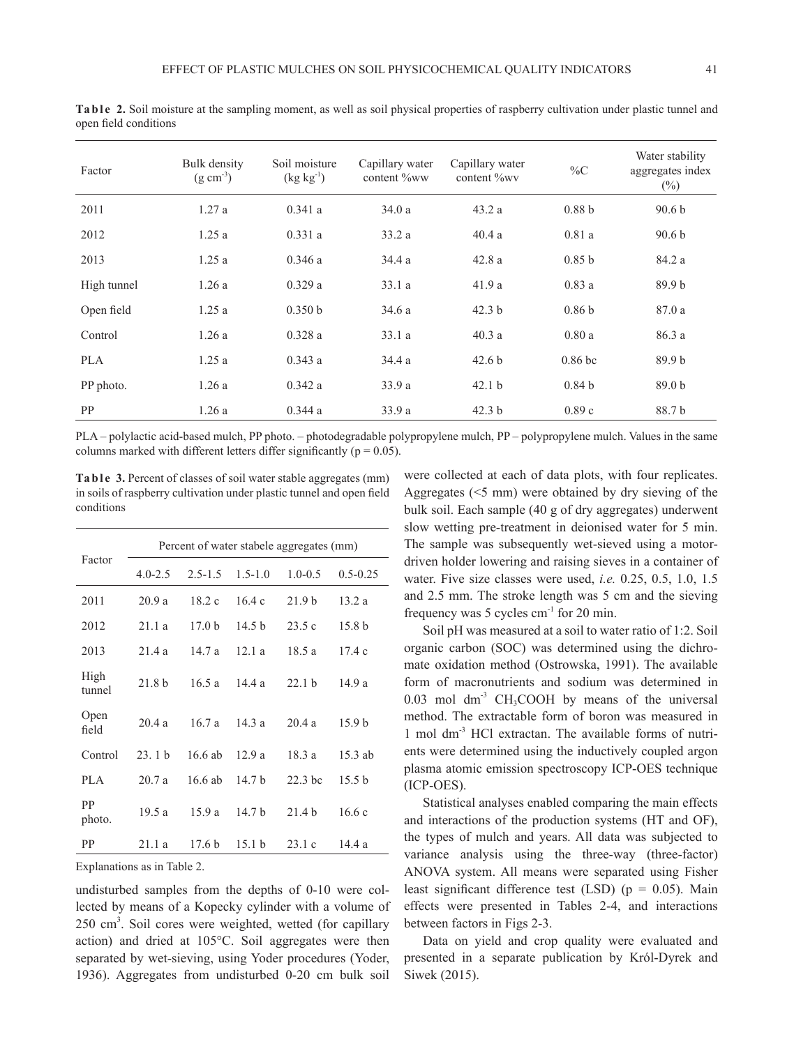Ta b l e 2. Soil moisture at the sampling moment, as well as soil physical properties of raspberry cultivation under plastic tunnel and open field conditions

| Factor      | Bulk density<br>$(g \text{ cm}^{-3})$ | Soil moisture<br>$(kg kg^{-1})$ | Capillary water<br>content %ww | Capillary water<br>content %wv | $\%C$             | Water stability<br>aggregates index<br>$(\%)$ |
|-------------|---------------------------------------|---------------------------------|--------------------------------|--------------------------------|-------------------|-----------------------------------------------|
| 2011        | 1.27a                                 | 0.341a                          | 34.0a                          | 43.2a                          | 0.88 <sub>b</sub> | 90.6 <sub>b</sub>                             |
| 2012        | 1.25a                                 | 0.331a                          | 33.2a                          | 40.4a                          | 0.81a             | 90.6 <sub>b</sub>                             |
| 2013        | 1.25a                                 | 0.346a                          | 34.4a                          | 42.8a                          | 0.85 <sub>b</sub> | 84.2 a                                        |
| High tunnel | 1.26a                                 | 0.329a                          | 33.1a                          | 41.9a                          | 0.83a             | 89.9 b                                        |
| Open field  | 1.25a                                 | 0.350 b                         | 34.6 a                         | 42.3 <sub>b</sub>              | 0.86 <sub>b</sub> | 87.0 a                                        |
| Control     | 1.26a                                 | 0.328a                          | 33.1a                          | 40.3a                          | 0.80a             | 86.3 a                                        |
| <b>PLA</b>  | 1.25a                                 | 0.343a                          | 34.4a                          | 42.6 <sub>b</sub>              | $0.86$ bc         | 89.9 <sub>b</sub>                             |
| PP photo.   | 1.26a                                 | 0.342a                          | 33.9a                          | 42.1 <sub>b</sub>              | 0.84 <sub>b</sub> | 89.0 <sub>b</sub>                             |
| <b>PP</b>   | 1.26a                                 | 0.344a                          | 33.9a                          | 42.3 <sub>b</sub>              | 0.89c             | 88.7 b                                        |

PLA – polylactic acid-based mulch, PP photo. – photodegradable polypropylene mulch, PP – polypropylene mulch. Values in the same columns marked with different letters differ significantly ( $p = 0.05$ ).

**Ta b l e** 3. Percent of classes of soil water stable aggregates (mm) in soils of raspberry cultivation under plastic tunnel and open field conditions

| Factor         | Percent of water stabele aggregates (mm) |                   |                   |                   |                   |  |  |
|----------------|------------------------------------------|-------------------|-------------------|-------------------|-------------------|--|--|
|                | $4.0 - 2.5$                              | $2.5 - 1.5$       | $1.5 - 1.0$       | $1.0 - 0.5$       | $0.5 - 0.25$      |  |  |
| 2011           | 20.9a                                    | 18.2c             | 164c              | 21.9 <sub>b</sub> | 13.2a             |  |  |
| 2012           | 21.1a                                    | 17.0 <sub>b</sub> | 14.5 $h$          | 23.5c             | 15.8 b            |  |  |
| 2013           | 21.4a                                    | 14.7a             | 12.1a             | 18.5 a            | 17.4c             |  |  |
| High<br>tunnel | 21.8 <sub>b</sub>                        | 16.5a             | 144a              | 22.1 h            | 14.9 a            |  |  |
| Open<br>field  | 20.4a                                    | 16.7a             | 14.3a             | 20.4a             | 15.9 <sub>b</sub> |  |  |
| Control        | 23.1h                                    | 16.6 ab           | 12.9a             | 18.3 a            | 15.3 ab           |  |  |
| PLA.           | 20.7a                                    | 16.6 ab           | 14.7 <sub>b</sub> | $22.3$ bc         | 15.5 h            |  |  |
| PP<br>photo.   | 19.5a                                    | 15.9a             | 14.7 <sub>b</sub> | 21.4 <sub>b</sub> | 16.6c             |  |  |
| РP             | 21.1a                                    | 17.6 <sub>b</sub> | 15.1 <sub>b</sub> | 23.1c             | 14.4a             |  |  |

Explanations as in Table 2.

undisturbed samples from the depths of 0-10 were collected by means of a Kopecky cylinder with a volume of 250 cm3 . Soil cores were weighted, wetted (for capillary action) and dried at 105°C. Soil aggregates were then separated by wet-sieving, using Yoder procedures (Yoder, 1936). Aggregates from undisturbed 0-20 cm bulk soil

were collected at each of data plots, with four replicates. Aggregates (<5 mm) were obtained by dry sieving of the bulk soil. Each sample (40 g of dry aggregates) underwent slow wetting pre-treatment in deionised water for 5 min. The sample was subsequently wet-sieved using a motordriven holder lowering and raising sieves in a container of water. Five size classes were used, *i.e.* 0.25, 0.5, 1.0, 1.5 and 2.5 mm. The stroke length was 5 cm and the sieving frequency was 5 cycles cm-1 for 20 min.

Soil pH was measured at a soil to water ratio of 1:2. Soil organic carbon (SOC) was determined using the dichromate oxidation method (Ostrowska, 1991). The available form of macronutrients and sodium was determined in  $0.03$  mol dm<sup>-3</sup> CH<sub>3</sub>COOH by means of the universal method. The extractable form of boron was measured in 1 mol dm-3 HCl extractan. The available forms of nutrients were determined using the inductively coupled argon plasma atomic emission spectroscopy ICP-OES technique (ICP-OES).

Statistical analyses enabled comparing the main effects and interactions of the production systems (HT and OF), the types of mulch and years. All data was subjected to variance analysis using the three-way (three-factor) ANOVA system. All means were separated using Fisher least significant difference test (LSD) ( $p = 0.05$ ). Main effects were presented in Tables 2-4, and interactions between factors in Figs 2-3.

Data on yield and crop quality were evaluated and presented in a separate publication by Król-Dyrek and Siwek (2015).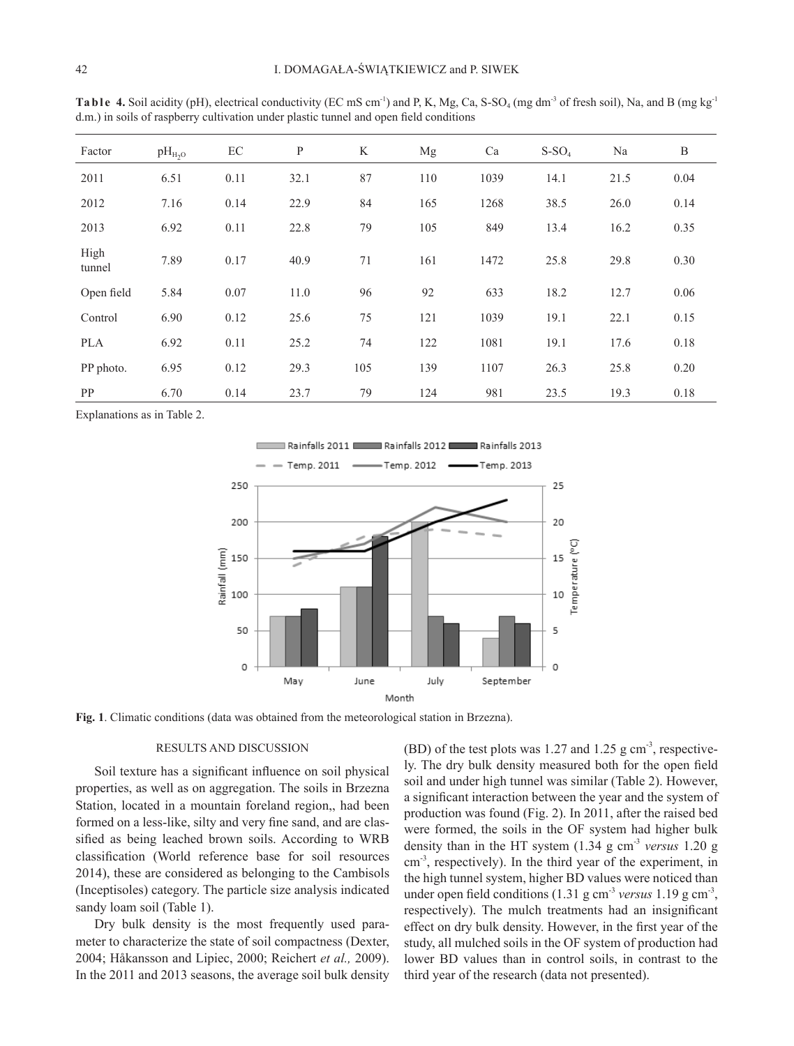| Factor         | $pH_{H_2O}$ | EC   | $\mathbf{P}$ | K   | Mg  | Ca   | $S-SO4$ | Na   | B    |
|----------------|-------------|------|--------------|-----|-----|------|---------|------|------|
| 2011           | 6.51        | 0.11 | 32.1         | 87  | 110 | 1039 | 14.1    | 21.5 | 0.04 |
| 2012           | 7.16        | 0.14 | 22.9         | 84  | 165 | 1268 | 38.5    | 26.0 | 0.14 |
| 2013           | 6.92        | 0.11 | 22.8         | 79  | 105 | 849  | 13.4    | 16.2 | 0.35 |
| High<br>tunnel | 7.89        | 0.17 | 40.9         | 71  | 161 | 1472 | 25.8    | 29.8 | 0.30 |
| Open field     | 5.84        | 0.07 | 11.0         | 96  | 92  | 633  | 18.2    | 12.7 | 0.06 |
| Control        | 6.90        | 0.12 | 25.6         | 75  | 121 | 1039 | 19.1    | 22.1 | 0.15 |
| <b>PLA</b>     | 6.92        | 0.11 | 25.2         | 74  | 122 | 1081 | 19.1    | 17.6 | 0.18 |
| PP photo.      | 6.95        | 0.12 | 29.3         | 105 | 139 | 1107 | 26.3    | 25.8 | 0.20 |
| <b>PP</b>      | 6.70        | 0.14 | 23.7         | 79  | 124 | 981  | 23.5    | 19.3 | 0.18 |

Ta b l e 4. Soil acidity (pH), electrical conductivity (EC mS cm<sup>-1</sup>) and P, K, Mg, Ca, S-SO<sub>4</sub> (mg dm<sup>-3</sup> of fresh soil), Na, and B (mg kg<sup>-1</sup>) d.m.) in soils of raspberry cultivation under plastic tunnel and open field conditions

Explanations as in Table 2.



**Fig. 1**. Climatic conditions (data was obtained from the meteorological station in Brzezna).

## RESULTS AND DISCUSSION

Soil texture has a significant influence on soil physical properties, as well as on aggregation. The soils in Brzezna Station, located in a mountain foreland region,, had been formed on a less-like, silty and very fine sand, and are classified as being leached brown soils. According to WRB classification (World reference base for soil resources 2014), these are considered as belonging to the Cambisols (Inceptisoles) category. The particle size analysis indicated sandy loam soil (Table 1).

Dry bulk density is the most frequently used parameter to characterize the state of soil compactness (Dexter, 2004; Håkansson and Lipiec, 2000; Reichert *et al.,* 2009). In the 2011 and 2013 seasons, the average soil bulk density (BD) of the test plots was 1.27 and 1.25 g  $cm<sup>3</sup>$ , respectively. The dry bulk density measured both for the open field soil and under high tunnel was similar (Table 2). However, a significant interaction between the year and the system of production was found (Fig. 2). In 2011, after the raised bed were formed, the soils in the OF system had higher bulk density than in the HT system (1.34 g cm-3 *versus* 1.20 g cm-3, respectively). In the third year of the experiment, in the high tunnel system, higher BD values were noticed than under open field conditions (1.31 g cm-3 *versus* 1.19 g cm-3, respectively). The mulch treatments had an insignificant effect on dry bulk density. However, in the first year of the study, all mulched soils in the OF system of production had lower BD values than in control soils, in contrast to the third year of the research (data not presented).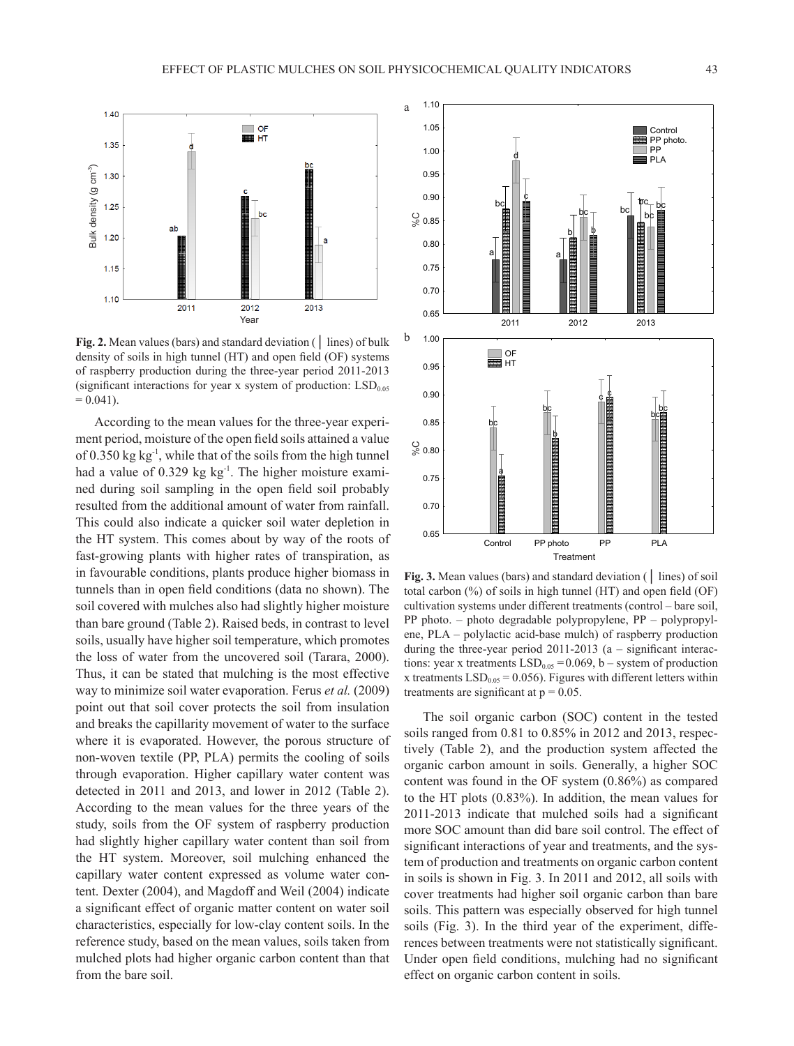

**Fig. 2.** Mean values (bars) and standard deviation (│ lines) of bulk density of soils in high tunnel (HT) and open field (OF) systems of raspberry production during the three-year period 2011-2013 (significant interactions for year x system of production:  $LSD<sub>0.05</sub>$  $= 0.041$ ).

According to the mean values for the three-year experiment period, moisture of the open field soils attained a value of  $0.350 \text{ kg kg}^{-1}$ , while that of the soils from the high tunnel had a value of 0.329 kg kg<sup>-1</sup>. The higher moisture examined during soil sampling in the open field soil probably resulted from the additional amount of water from rainfall. This could also indicate a quicker soil water depletion in the HT system. This comes about by way of the roots of fast-growing plants with higher rates of transpiration, as in favourable conditions, plants produce higher biomass in tunnels than in open field conditions (data no shown). The soil covered with mulches also had slightly higher moisture than bare ground (Table 2). Raised beds, in contrast to level soils, usually have higher soil temperature, which promotes the loss of water from the uncovered soil (Tarara, 2000). Thus, it can be stated that mulching is the most effective way to minimize soil water evaporation. Ferus *et al.* (2009) point out that soil cover protects the soil from insulation and breaks the capillarity movement of water to the surface where it is evaporated. However, the porous structure of non-woven textile (PP, PLA) permits the cooling of soils through evaporation. Higher capillary water content was detected in 2011 and 2013, and lower in 2012 (Table 2). According to the mean values for the three years of the study, soils from the OF system of raspberry production had slightly higher capillary water content than soil from the HT system. Moreover, soil mulching enhanced the capillary water content expressed as volume water content. Dexter (2004), and Magdoff and Weil (2004) indicate a significant effect of organic matter content on water soil characteristics, especially for low-clay content soils. In the reference study, based on the mean values, soils taken from mulched plots had higher organic carbon content than that from the bare soil.



**Fig. 3.** Mean values (bars) and standard deviation (│ lines) of soil total carbon (%) of soils in high tunnel (HT) and open field (OF) cultivation systems under different treatments (control – bare soil, PP photo. – photo degradable polypropylene, PP – polypropylene, PLA – polylactic acid-base mulch) of raspberry production during the three-year period 2011-2013 (a – significant interactions: year x treatments  $LSD<sub>0.05</sub> = 0.069$ , b – system of production x treatments  $LSD<sub>0.05</sub> = 0.056$ ). Figures with different letters within treatments are significant at  $p = 0.05$ .

The soil organic carbon (SOC) content in the tested soils ranged from 0.81 to 0.85% in 2012 and 2013, respectively (Table 2), and the production system affected the organic carbon amount in soils. Generally, a higher SOC content was found in the OF system (0.86%) as compared to the HT plots (0.83%). In addition, the mean values for 2011-2013 indicate that mulched soils had a significant more SOC amount than did bare soil control. The effect of significant interactions of year and treatments, and the system of production and treatments on organic carbon content in soils is shown in Fig. 3. In 2011 and 2012, all soils with cover treatments had higher soil organic carbon than bare soils. This pattern was especially observed for high tunnel soils (Fig. 3). In the third year of the experiment, differences between treatments were not statistically significant. Under open field conditions, mulching had no significant effect on organic carbon content in soils.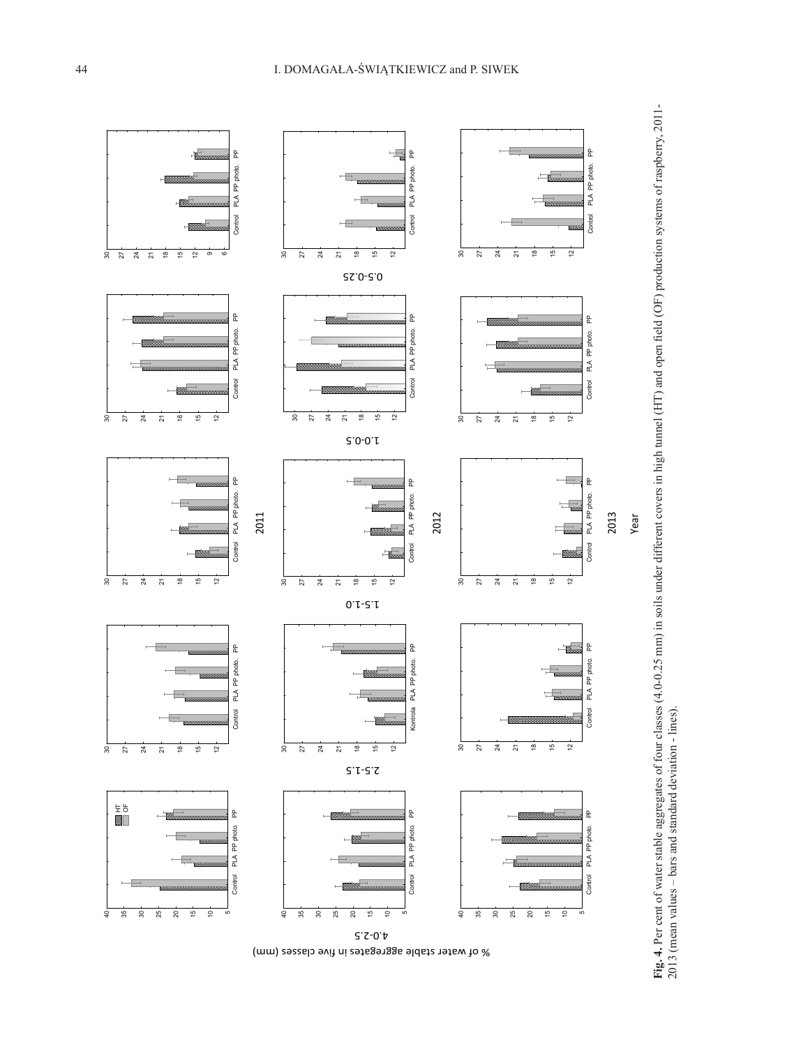

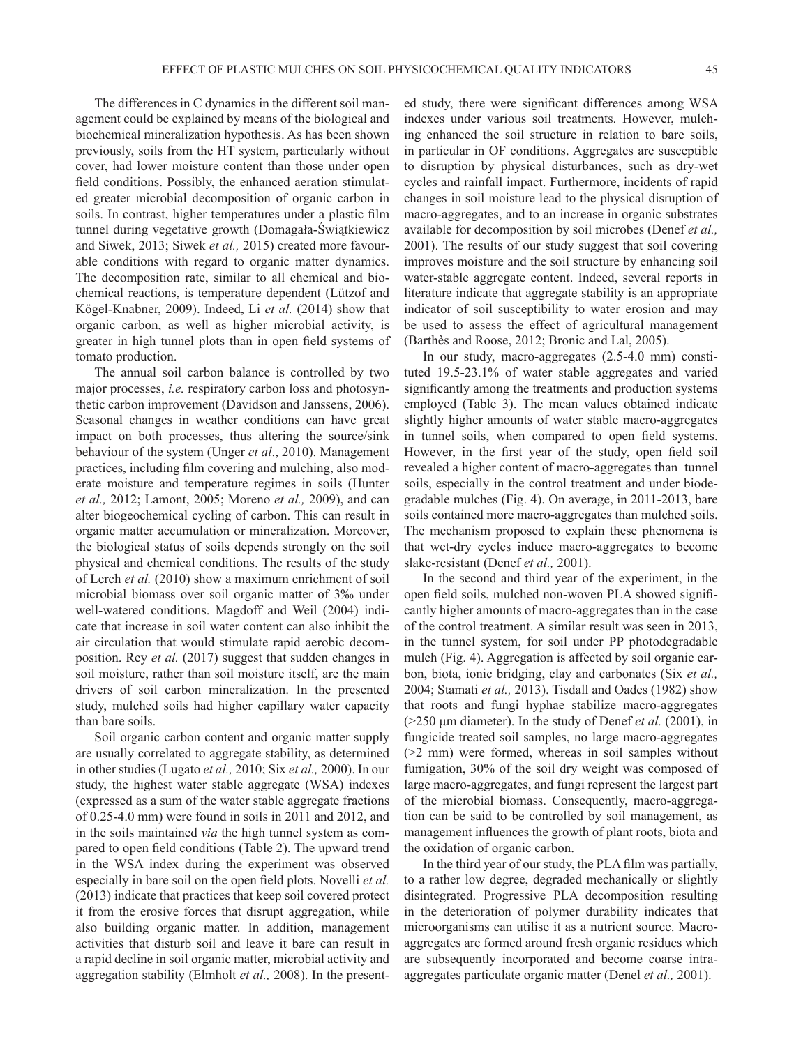The differences in C dynamics in the different soil management could be explained by means of the biological and biochemical mineralization hypothesis. As has been shown previously, soils from the HT system, particularly without cover, had lower moisture content than those under open field conditions. Possibly, the enhanced aeration stimulated greater microbial decomposition of organic carbon in soils. In contrast, higher temperatures under a plastic film tunnel during vegetative growth (Domagała-Świątkiewicz and Siwek, 2013; Siwek *et al.,* 2015) created more favourable conditions with regard to organic matter dynamics. The decomposition rate, similar to all chemical and biochemical reactions, is temperature dependent (Lützof and Kögel-Knabner, 2009). Indeed, Li *et al.* (2014) show that organic carbon, as well as higher microbial activity, is greater in high tunnel plots than in open field systems of tomato production.

The annual soil carbon balance is controlled by two major processes, *i.e.* respiratory carbon loss and photosynthetic carbon improvement (Davidson and Janssens, 2006). Seasonal changes in weather conditions can have great impact on both processes, thus altering the source/sink behaviour of the system (Unger *et al*., 2010). Management practices, including film covering and mulching, also moderate moisture and temperature regimes in soils (Hunter *et al.,* 2012; Lamont, 2005; Moreno *et al.,* 2009), and can alter biogeochemical cycling of carbon. This can result in organic matter accumulation or mineralization. Moreover, the biological status of soils depends strongly on the soil physical and chemical conditions. The results of the study of Lerch *et al.* (2010) show a maximum enrichment of soil microbial biomass over soil organic matter of 3‰ under well-watered conditions. Magdoff and Weil (2004) indicate that increase in soil water content can also inhibit the air circulation that would stimulate rapid aerobic decomposition. Rey *et al.* (2017) suggest that sudden changes in soil moisture, rather than soil moisture itself, are the main drivers of soil carbon mineralization. In the presented study, mulched soils had higher capillary water capacity than bare soils.

Soil organic carbon content and organic matter supply are usually correlated to aggregate stability, as determined in other studies (Lugato *et al.,* 2010; Six *et al.,* 2000). In our study, the highest water stable aggregate (WSA) indexes (expressed as a sum of the water stable aggregate fractions of 0.25-4.0 mm) were found in soils in 2011 and 2012, and in the soils maintained *via* the high tunnel system as compared to open field conditions (Table 2). The upward trend in the WSA index during the experiment was observed especially in bare soil on the open field plots. Novelli *et al.* (2013) indicate that practices that keep soil covered protect it from the erosive forces that disrupt aggregation, while also building organic matter. In addition, management activities that disturb soil and leave it bare can result in a rapid decline in soil organic matter, microbial activity and aggregation stability (Elmholt *et al.,* 2008). In the present-

ed study, there were significant differences among WSA indexes under various soil treatments. However, mulching enhanced the soil structure in relation to bare soils, in particular in OF conditions. Aggregates are susceptible to disruption by physical disturbances, such as dry-wet cycles and rainfall impact. Furthermore, incidents of rapid changes in soil moisture lead to the physical disruption of macro-aggregates, and to an increase in organic substrates available for decomposition by soil microbes (Denef *et al.,* 2001). The results of our study suggest that soil covering improves moisture and the soil structure by enhancing soil water-stable aggregate content. Indeed, several reports in literature indicate that aggregate stability is an appropriate indicator of soil susceptibility to water erosion and may be used to assess the effect of agricultural management (Barthès and Roose, 2012; Bronic and Lal, 2005).

In our study, macro-aggregates (2.5-4.0 mm) constituted 19.5-23.1% of water stable aggregates and varied significantly among the treatments and production systems employed (Table 3). The mean values obtained indicate slightly higher amounts of water stable macro-aggregates in tunnel soils, when compared to open field systems. However, in the first year of the study, open field soil revealed a higher content of macro-aggregates than tunnel soils, especially in the control treatment and under biodegradable mulches (Fig. 4). On average, in 2011-2013, bare soils contained more macro-aggregates than mulched soils. The mechanism proposed to explain these phenomena is that wet-dry cycles induce macro-aggregates to become slake-resistant (Denef *et al.,* 2001).

In the second and third year of the experiment, in the open field soils, mulched non-woven PLA showed significantly higher amounts of macro-aggregates than in the case of the control treatment. A similar result was seen in 2013, in the tunnel system, for soil under PP photodegradable mulch (Fig. 4). Aggregation is affected by soil organic carbon, biota, ionic bridging, clay and carbonates (Six *et al.,* 2004; Stamati *et al.,* 2013). Tisdall and Oades (1982) show that roots and fungi hyphae stabilize macro-aggregates (>250 μm diameter). In the study of Denef *et al.* (2001), in fungicide treated soil samples, no large macro-aggregates (>2 mm) were formed, whereas in soil samples without fumigation, 30% of the soil dry weight was composed of large macro-aggregates, and fungi represent the largest part of the microbial biomass. Consequently, macro-aggregation can be said to be controlled by soil management, as management influences the growth of plant roots, biota and the oxidation of organic carbon.

In the third year of our study, the PLA film was partially, to a rather low degree, degraded mechanically or slightly disintegrated. Progressive PLA decomposition resulting in the deterioration of polymer durability indicates that microorganisms can utilise it as a nutrient source. Macroaggregates are formed around fresh organic residues which are subsequently incorporated and become coarse intraaggregates particulate organic matter (Denel *et al.,* 2001).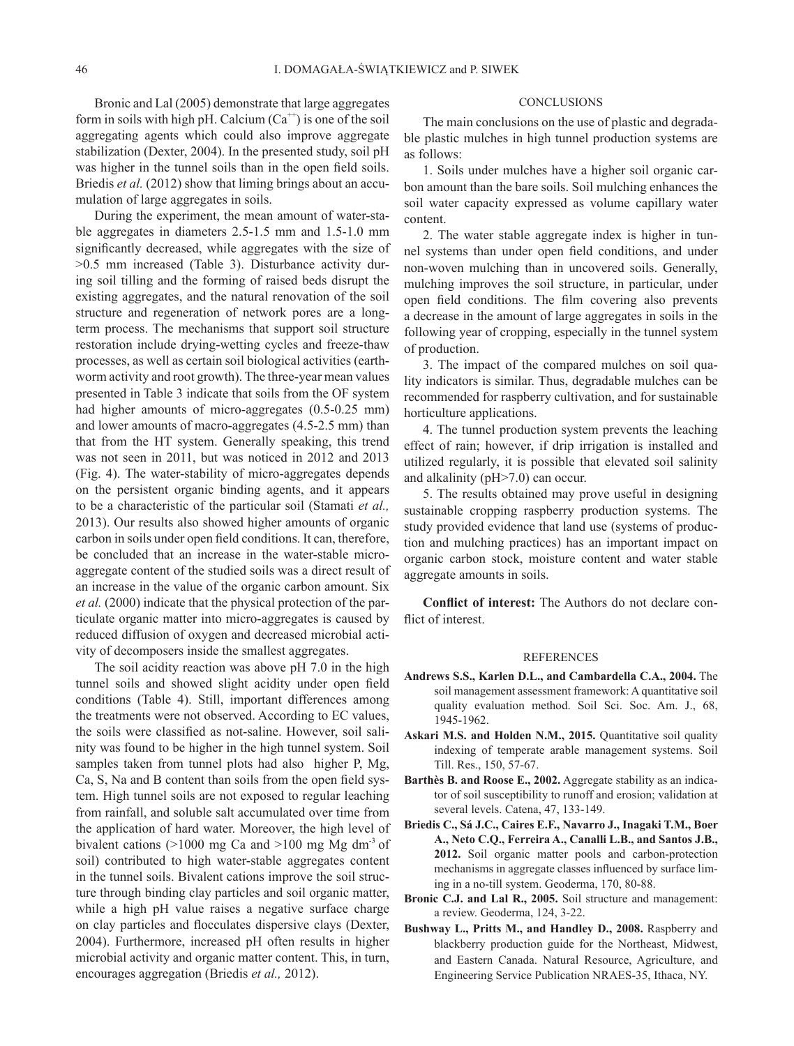Bronic and Lal (2005) demonstrate that large aggregates form in soils with high pH. Calcium  $(Ca^{+})$  is one of the soil aggregating agents which could also improve aggregate stabilization (Dexter, 2004). In the presented study, soil pH was higher in the tunnel soils than in the open field soils. Briedis *et al.* (2012) show that liming brings about an accumulation of large aggregates in soils.

During the experiment, the mean amount of water-stable aggregates in diameters 2.5-1.5 mm and 1.5-1.0 mm significantly decreased, while aggregates with the size of >0.5 mm increased (Table 3). Disturbance activity during soil tilling and the forming of raised beds disrupt the existing aggregates, and the natural renovation of the soil structure and regeneration of network pores are a longterm process. The mechanisms that support soil structure restoration include drying-wetting cycles and freeze-thaw processes, as well as certain soil biological activities (earthworm activity and root growth). The three-year mean values presented in Table 3 indicate that soils from the OF system had higher amounts of micro-aggregates (0.5-0.25 mm) and lower amounts of macro-aggregates (4.5-2.5 mm) than that from the HT system. Generally speaking, this trend was not seen in 2011, but was noticed in 2012 and 2013 (Fig. 4). The water-stability of micro-aggregates depends on the persistent organic binding agents, and it appears to be a characteristic of the particular soil (Stamati *et al.,* 2013). Our results also showed higher amounts of organic carbon in soils under open field conditions. It can, therefore, be concluded that an increase in the water-stable microaggregate content of the studied soils was a direct result of an increase in the value of the organic carbon amount. Six *et al.* (2000) indicate that the physical protection of the particulate organic matter into micro-aggregates is caused by reduced diffusion of oxygen and decreased microbial activity of decomposers inside the smallest aggregates.

The soil acidity reaction was above pH 7.0 in the high tunnel soils and showed slight acidity under open field conditions (Table 4). Still, important differences among the treatments were not observed. According to EC values, the soils were classified as not-saline. However, soil salinity was found to be higher in the high tunnel system. Soil samples taken from tunnel plots had also higher P, Mg, Ca, S, Na and B content than soils from the open field system. High tunnel soils are not exposed to regular leaching from rainfall, and soluble salt accumulated over time from the application of hard water. Moreover, the high level of bivalent cations ( $>1000$  mg Ca and  $>100$  mg Mg dm<sup>-3</sup> of soil) contributed to high water-stable aggregates content in the tunnel soils. Bivalent cations improve the soil structure through binding clay particles and soil organic matter, while a high pH value raises a negative surface charge on clay particles and flocculates dispersive clays (Dexter, 2004). Furthermore, increased pH often results in higher microbial activity and organic matter content. This, in turn, encourages aggregation (Briedis *et al.,* 2012).

## **CONCLUSIONS**

The main conclusions on the use of plastic and degradable plastic mulches in high tunnel production systems are as follows:

1. Soils under mulches have a higher soil organic carbon amount than the bare soils. Soil mulching enhances the soil water capacity expressed as volume capillary water content.

2. The water stable aggregate index is higher in tunnel systems than under open field conditions, and under non-woven mulching than in uncovered soils. Generally, mulching improves the soil structure, in particular, under open field conditions. The film covering also prevents a decrease in the amount of large aggregates in soils in the following year of cropping, especially in the tunnel system of production.

3. The impact of the compared mulches on soil quality indicators is similar. Thus, degradable mulches can be recommended for raspberry cultivation, and for sustainable horticulture applications.

4. The tunnel production system prevents the leaching effect of rain; however, if drip irrigation is installed and utilized regularly, it is possible that elevated soil salinity and alkalinity (pH>7.0) can occur.

5. The results obtained may prove useful in designing sustainable cropping raspberry production systems. The study provided evidence that land use (systems of production and mulching practices) has an important impact on organic carbon stock, moisture content and water stable aggregate amounts in soils.

**Conflict of interest:** The Authors do not declare conflict of interest.

## REFERENCES

- **Andrews S.S., Karlen D.L., and Cambardella C.A., 2004.** The soil management assessment framework: A quantitative soil quality evaluation method. Soil Sci. Soc. Am. J., 68, 1945-1962.
- **Askari M.S. and Holden N.M., 2015.** Quantitative soil quality indexing of temperate arable management systems. Soil Till. Res., 150, 57-67.
- **Barthès B. and Roose E., 2002.** Aggregate stability as an indicator of soil susceptibility to runoff and erosion; validation at several levels. Catena, 47, 133-149.
- **Briedis C., Sá J.C., Caires E.F., Navarro J., Inagaki T.M., Boer A., Neto C.Q., Ferreira A., Canalli L.B., and Santos J.B., 2012.** Soil organic matter pools and carbon-protection mechanisms in aggregate classes influenced by surface liming in a no-till system. Geoderma, 170, 80-88.
- **Bronic C.J. and Lal R., 2005.** Soil structure and management: a review. Geoderma, 124, 3-22.
- **Bushway L., Pritts M., and Handley D., 2008.** Raspberry and blackberry production guide for the Northeast, Midwest, and Eastern Canada. Natural Resource, Agriculture, and Engineering Service Publication NRAES-35, Ithaca, NY.